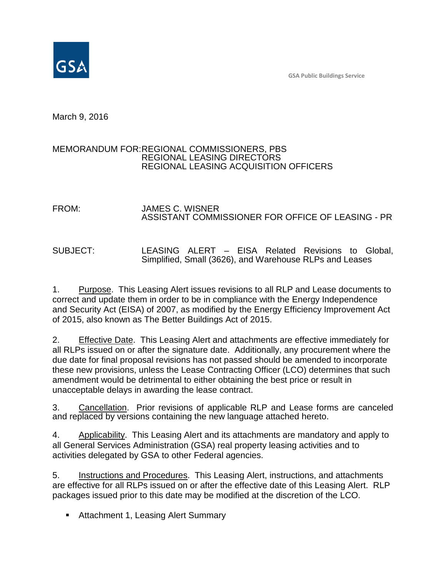**GSA Public Buildings Service**



March 9, 2016

# MEMORANDUM FOR:REGIONAL COMMISSIONERS, PBS REGIONAL LEASING DIRECTORS REGIONAL LEASING ACQUISITION OFFICERS

# FROM: JAMES C. WISNER ASSISTANT COMMISSIONER FOR OFFICE OF LEASING - PR

SUBJECT: LEASING ALERT – EISA Related Revisions to Global, Simplified, Small (3626), and Warehouse RLPs and Leases

1. Purpose. This Leasing Alert issues revisions to all RLP and Lease documents to correct and update them in order to be in compliance with the Energy Independence and Security Act (EISA) of 2007, as modified by the Energy Efficiency Improvement Act of 2015, also known as The Better Buildings Act of 2015.

2. Effective Date. This Leasing Alert and attachments are effective immediately for all RLPs issued on or after the signature date. Additionally, any procurement where the due date for final proposal revisions has not passed should be amended to incorporate these new provisions, unless the Lease Contracting Officer (LCO) determines that such amendment would be detrimental to either obtaining the best price or result in unacceptable delays in awarding the lease contract.

3. Cancellation. Prior revisions of applicable RLP and Lease forms are canceled and replaced by versions containing the new language attached hereto.

4. Applicability. This Leasing Alert and its attachments are mandatory and apply to all General Services Administration (GSA) real property leasing activities and to activities delegated by GSA to other Federal agencies.

5. Instructions and Procedures. This Leasing Alert, instructions, and attachments are effective for all RLPs issued on or after the effective date of this Leasing Alert. RLP packages issued prior to this date may be modified at the discretion of the LCO.

**Attachment 1, Leasing Alert Summary**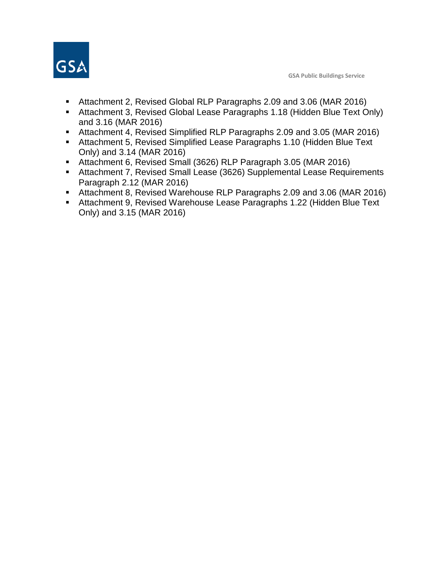

- Attachment 2, Revised Global RLP Paragraphs 2.09 and 3.06 (MAR 2016)
- Attachment 3, Revised Global Lease Paragraphs 1.18 (Hidden Blue Text Only) and 3.16 (MAR 2016)
- Attachment 4, Revised Simplified RLP Paragraphs 2.09 and 3.05 (MAR 2016)
- **Attachment 5, Revised Simplified Lease Paragraphs 1.10 (Hidden Blue Text** Only) and 3.14 (MAR 2016)
- Attachment 6, Revised Small (3626) RLP Paragraph 3.05 (MAR 2016)
- Attachment 7, Revised Small Lease (3626) Supplemental Lease Requirements Paragraph 2.12 (MAR 2016)
- Attachment 8, Revised Warehouse RLP Paragraphs 2.09 and 3.06 (MAR 2016)
- Attachment 9, Revised Warehouse Lease Paragraphs 1.22 (Hidden Blue Text Only) and 3.15 (MAR 2016)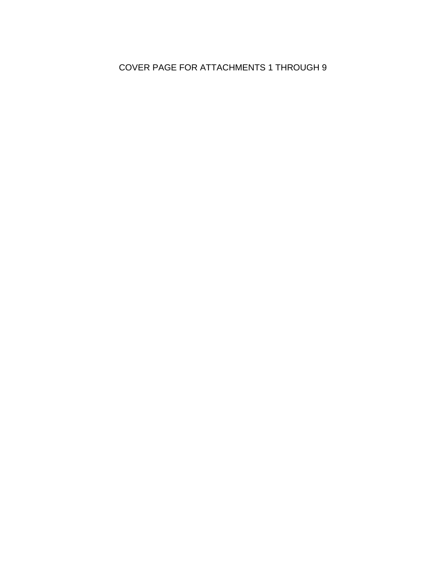# COVER PAGE FOR ATTACHMENTS 1 THROUGH 9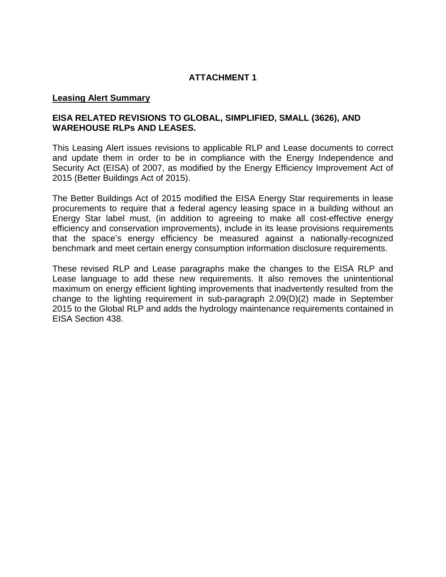# **Leasing Alert Summary**

# **EISA RELATED REVISIONS TO GLOBAL, SIMPLIFIED, SMALL (3626), AND WAREHOUSE RLPs AND LEASES.**

This Leasing Alert issues revisions to applicable RLP and Lease documents to correct and update them in order to be in compliance with the Energy Independence and Security Act (EISA) of 2007, as modified by the Energy Efficiency Improvement Act of 2015 (Better Buildings Act of 2015).

The Better Buildings Act of 2015 modified the EISA Energy Star requirements in lease procurements to require that a federal agency leasing space in a building without an Energy Star label must, (in addition to agreeing to make all cost-effective energy efficiency and conservation improvements), include in its lease provisions requirements that the space's energy efficiency be measured against a nationally-recognized benchmark and meet certain energy consumption information disclosure requirements.

These revised RLP and Lease paragraphs make the changes to the EISA RLP and Lease language to add these new requirements. It also removes the unintentional maximum on energy efficient lighting improvements that inadvertently resulted from the change to the lighting requirement in sub-paragraph 2.09(D)(2) made in September 2015 to the Global RLP and adds the hydrology maintenance requirements contained in EISA Section 438.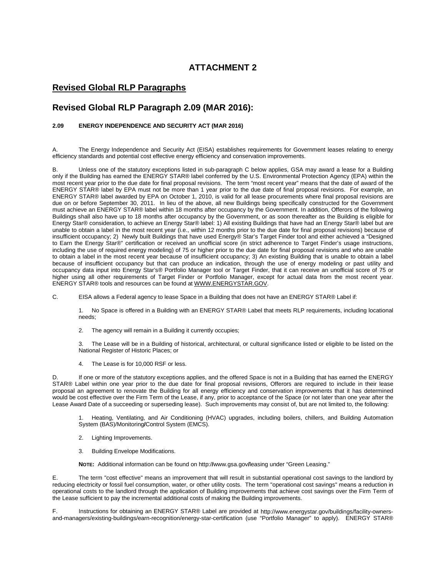## **Revised Global RLP Paragraphs**

# **Revised Global RLP Paragraph 2.09 (MAR 2016):**

#### **2.09 ENERGY INDEPENDENCE AND SECURITY ACT (MAR 2016)**

A. The Energy Independence and Security Act (EISA) establishes requirements for Government leases relating to energy efficiency standards and potential cost effective energy efficiency and conservation improvements.

B. Unless one of the statutory exceptions listed in sub-paragraph C below applies, GSA may award a lease for a Building only if the Building has earned the ENERGY STAR® label conferred by the U.S. Environmental Protection Agency (EPA) within the most recent year prior to the due date for final proposal revisions. The term "most recent year" means that the date of award of the ENERGY STAR® label by EPA must not be more than 1 year prior to the due date of final proposal revisions. For example, an ENERGY STAR® label awarded by EPA on October 1, 2010, is valid for all lease procurements where final proposal revisions are due on or before September 30, 2011. In lieu of the above, all new Buildings being specifically constructed for the Government must achieve an ENERGY STAR® label within 18 months after occupancy by the Government. In addition, Offerors of the following Buildings shall also have up to 18 months after occupancy by the Government, or as soon thereafter as the Building is eligible for Energy Star® consideration, to achieve an Energy Star® label: 1) All existing Buildings that have had an Energy Star® label but are unable to obtain a label in the most recent year (i.e., within 12 months prior to the due date for final proposal revisions) because of insufficient occupancy; 2) Newly built Buildings that have used Energy® Star's Target Finder tool and either achieved a "Designed to Earn the Energy Star®" certification or received an unofficial score (in strict adherence to Target Finder's usage instructions, including the use of required energy modeling) of 75 or higher prior to the due date for final proposal revisions and who are unable to obtain a label in the most recent year because of insufficient occupancy; 3) An existing Building that is unable to obtain a label because of insufficient occupancy but that can produce an indication, through the use of energy modeling or past utility and occupancy data input into Energy Star's® Portfolio Manager tool or Target Finder, that it can receive an unofficial score of 75 or higher using all other requirements of Target Finder or Portfolio Manager, except for actual data from the most recent year. ENERGY STAR® tools and resources can be found at WWW.ENERGYSTAR.GOV.

C. EISA allows a Federal agency to lease Space in a Building that does not have an ENERGY STAR® Label if:

1. No Space is offered in a Building with an ENERGY STAR® Label that meets RLP requirements, including locational needs;

2. The agency will remain in a Building it currently occupies;

3. The Lease will be in a Building of historical, architectural, or cultural significance listed or eligible to be listed on the National Register of Historic Places; or

4. The Lease is for 10,000 RSF or less.

D. If one or more of the statutory exceptions applies, and the offered Space is not in a Building that has earned the ENERGY STAR® Label within one year prior to the due date for final proposal revisions, Offerors are required to include in their lease proposal an agreement to renovate the Building for all energy efficiency and conservation improvements that it has determined would be cost effective over the Firm Term of the Lease, if any, prior to acceptance of the Space (or not later than one year after the Lease Award Date of a succeeding or superseding lease). Such improvements may consist of, but are not limited to, the following:

1. Heating, Ventilating, and Air Conditioning (HVAC) upgrades, including boilers, chillers, and Building Automation System (BAS)/Monitoring**/**Control System (EMCS).

- 2. Lighting Improvements.
- 3. Building Envelope Modifications.

**NOTE:** Additional information can be found on http:/**/**www.gsa.gov**/**leasing under "Green Leasing."

E. The term "cost effective" means an improvement that will result in substantial operational cost savings to the landlord by reducing electricity or fossil fuel consumption, water, or other utility costs. The term "operational cost savings" means a reduction in operational costs to the landlord through the application of Building improvements that achieve cost savings over the Firm Term of the Lease sufficient to pay the incremental additional costs of making the Building improvements.

F. Instructions for obtaining an ENERGY STAR® Label are provided at http://www.energystar.gov/buildings/facility-ownersand-managers/existing-buildings/earn-recognition/energy-star-certification (use "Portfolio Manager" to apply). ENERGY STAR®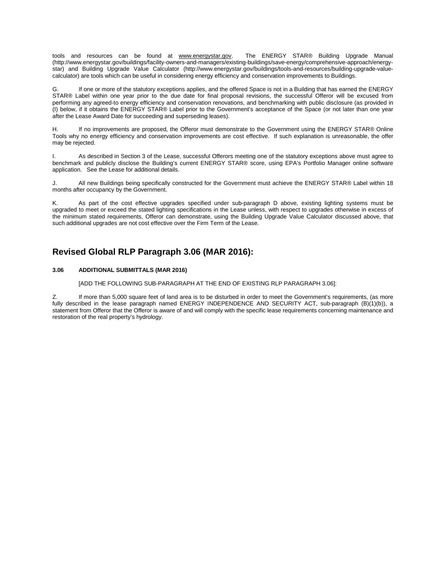tools and resources can be found at www.energystar.gov. The ENERGY STAR® Building Upgrade Manual (http://www.energystar.gov/buildings/facility-owners-and-managers/existing-buildings/save-energy/comprehensive-approach/energystar) and Building Upgrade Value Calculator (http://www.energystar.gov/buildings/tools-and-resources/building-upgrade-valuecalculator) are tools which can be useful in considering energy efficiency and conservation improvements to Buildings.

G. If one or more of the statutory exceptions applies, and the offered Space is not in a Building that has earned the ENERGY STAR® Label within one year prior to the due date for final proposal revisions, the successful Offeror will be excused from performing any agreed-to energy efficiency and conservation renovations, and benchmarking with public disclosure (as provided in (I) below, if it obtains the ENERGY STAR® Label prior to the Government's acceptance of the Space (or not later than one year after the Lease Award Date for succeeding and superseding leases).

H. If no improvements are proposed, the Offeror must demonstrate to the Government using the ENERGY STAR® Online Tools why no energy efficiency and conservation improvements are cost effective. If such explanation is unreasonable, the offer may be rejected.

As described in Section 3 of the Lease, successful Offerors meeting one of the statutory exceptions above must agree to benchmark and publicly disclose the Building's current ENERGY STAR® score, using EPA's Portfolio Manager online software application. See the Lease for additional details.

J. All new Buildings being specifically constructed for the Government must achieve the ENERGY STAR® Label within 18 months after occupancy by the Government.

K. As part of the cost effective upgrades specified under sub-paragraph D above, existing lighting systems must be upgraded to meet or exceed the stated lighting specifications in the Lease unless, with respect to upgrades otherwise in excess of the minimum stated requirements, Offeror can demonstrate, using the Building Upgrade Value Calculator discussed above, that such additional upgrades are not cost effective over the Firm Term of the Lease.

# **Revised Global RLP Paragraph 3.06 (MAR 2016):**

#### **3.06 ADDITIONAL SUBMITTALS (MAR 2016)**

[ADD THE FOLLOWING SUB-PARAGRAPH AT THE END OF EXISTING RLP PARAGRAPH 3.06]:

Z. If more than 5,000 square feet of land area is to be disturbed in order to meet the Government's requirements, (as more fully described in the lease paragraph named ENERGY INDEPENDENCE AND SECURITY ACT, sub-paragraph (B)(1)(b)), a statement from Offeror that the Offeror is aware of and will comply with the specific lease requirements concerning maintenance and restoration of the real property's hydrology.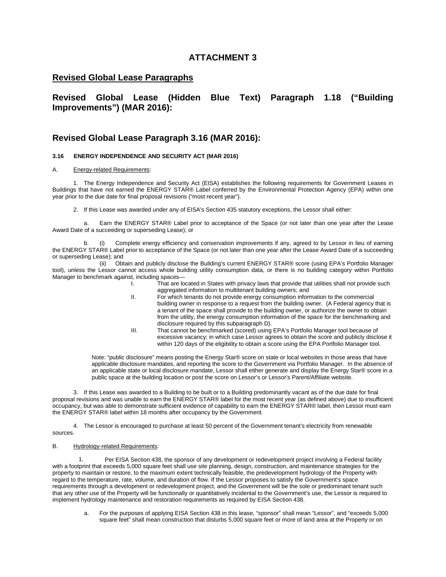## **Revised Global Lease Paragraphs**

**Revised Global Lease (Hidden Blue Text) Paragraph 1.18 ("Building Improvements") (MAR 2016):**

## **Revised Global Lease Paragraph 3.16 (MAR 2016):**

#### **3.16 ENERGY INDEPENDENCE AND SECURITY ACT (MAR 2016)**

#### A. Energy-related Requirements:

1. The Energy Independence and Security Act (EISA) establishes the following requirements for Government Leases in Buildings that have not earned the ENERGY STAR® Label conferred by the Environmental Protection Agency (EPA) within one year prior to the due date for final proposal revisions ("most recent year").

2. If this Lease was awarded under any of EISA's Section 435 statutory exceptions, the Lessor shall either:

a. Earn the ENERGY STAR® Label prior to acceptance of the Space (or not later than one year after the Lease Award Date of a succeeding or superseding Lease); or

Complete energy efficiency and conservation improvements if any, agreed to by Lessor in lieu of earning the ENERGY STAR® Label prior to acceptance of the Space (or not later than one year after the Lease Award Date of a succeeding or superseding Lease); and<br>(ii) Obt

Obtain and publicly disclose the Building's current ENERGY STAR® score (using EPA's Portfolio Manager tool), unless the Lessor cannot access whole building utility consumption data, or there is no building category within Portfolio Manager to benchmark against, including spaces—

- I. That are located in States with privacy laws that provide that utilities shall not provide such aggregated information to multitenant building owners; and
- II. For which tenants do not provide energy consumption information to the commercial building owner in response to a request from the building owner. (A Federal agency that is a tenant of the space shall provide to the building owner, or authorize the owner to obtain from the utility, the energy consumption information of the space for the benchmarking and disclosure required by this subparagraph D).
- III. That cannot be benchmarked (scored) using EPA's Portfolio Manager tool because of excessive vacancy; in which case Lessor agrees to obtain the score and publicly disclose it within 120 days of the eligibility to obtain a score using the EPA Portfolio Manager tool.

Note: "public disclosure" means posting the Energy Star® score on state or local websites in those areas that have applicable disclosure mandates, and reporting the score to the Government via Portfolio Manager. In the absence of an applicable state or local disclosure mandate, Lessor shall either generate and display the Energy Star® score in a public space at the building location or post the score on Lessor's or Lessor's Parent/Affiliate website.

3. If this Lease was awarded to a Building to be built or to a Building predominantly vacant as of the due date for final proposal revisions and was unable to earn the ENERGY STAR® label for the most recent year (as defined above) due to insufficient occupancy, but was able to demonstrate sufficient evidence of capability to earn the ENERGY STAR® label, then Lessor must earn the ENERGY STAR® label within 18 months after occupancy by the Government.

4. The Lessor is encouraged to purchase at least 50 percent of the Government tenant's electricity from renewable sources.

#### B. Hydrology-related Requirements:

Per EISA Section 438, the sponsor of any development or redevelopment project involving a Federal facility with a footprint that exceeds 5,000 square feet shall use site planning, design, construction, and maintenance strategies for the property to maintain or restore, to the maximum extent technically feasible, the predevelopment hydrology of the Property with regard to the temperature, rate, volume, and duration of flow. If the Lessor proposes to satisfy the Government's space requirements through a development or redevelopment project, and the Government will be the sole or predominant tenant such that any other use of the Property will be functionally or quantitatively incidental to the Government's use, the Lessor is required to implement hydrology maintenance and restoration requirements as required by EISA Section 438.

a. For the purposes of applying EISA Section 438 in this lease, "sponsor" shall mean "Lessor", and "exceeds 5,000 square feet" shall mean construction that disturbs 5,000 square feet or more of land area at the Property or on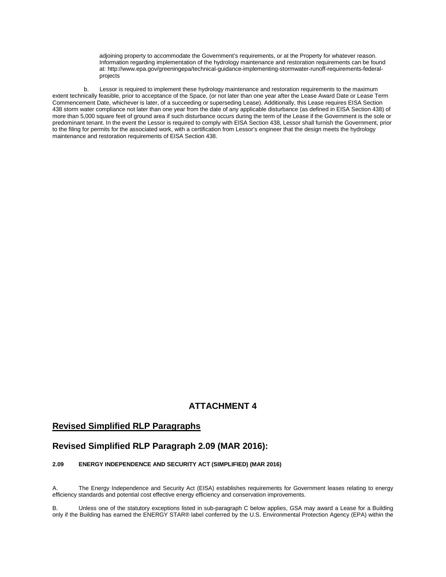adjoining property to accommodate the Government's requirements, or at the Property for whatever reason. Information regarding implementation of the hydrology maintenance and restoration requirements can be found at: http://www.epa.gov/greeningepa/technical-guidance-implementing-stormwater-runoff-requirements-federalprojects

b. Lessor is required to implement these hydrology maintenance and restoration requirements to the maximum extent technically feasible, prior to acceptance of the Space, (or not later than one year after the Lease Award Date or Lease Term Commencement Date, whichever is later, of a succeeding or superseding Lease). Additionally, this Lease requires EISA Section 438 storm water compliance not later than one year from the date of any applicable disturbance (as defined in EISA Section 438) of more than 5,000 square feet of ground area if such disturbance occurs during the term of the Lease if the Government is the sole or predominant tenant. In the event the Lessor is required to comply with EISA Section 438, Lessor shall furnish the Government, prior to the filing for permits for the associated work, with a certification from Lessor's engineer that the design meets the hydrology maintenance and restoration requirements of EISA Section 438.

### **ATTACHMENT 4**

## **Revised Simplified RLP Paragraphs**

#### **Revised Simplified RLP Paragraph 2.09 (MAR 2016):**

#### **2.09 ENERGY INDEPENDENCE AND SECURITY ACT (SIMPLIFIED) (MAR 2016)**

A. The Energy Independence and Security Act (EISA) establishes requirements for Government leases relating to energy efficiency standards and potential cost effective energy efficiency and conservation improvements.

B. Unless one of the statutory exceptions listed in sub-paragraph C below applies, GSA may award a Lease for a Building only if the Building has earned the ENERGY STAR® label conferred by the U.S. Environmental Protection Agency (EPA) within the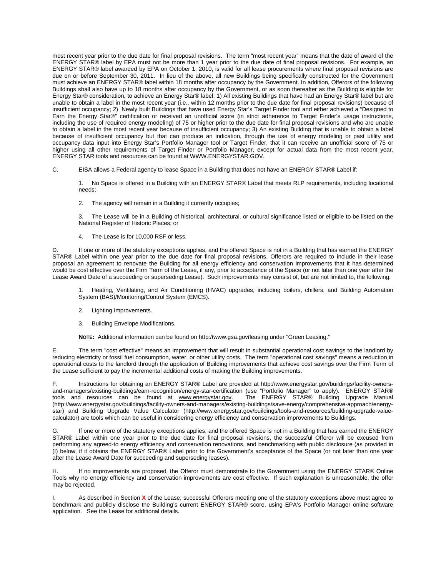most recent year prior to the due date for final proposal revisions. The term "most recent year" means that the date of award of the ENERGY STAR® label by EPA must not be more than 1 year prior to the due date of final proposal revisions. For example, an ENERGY STAR® label awarded by EPA on October 1, 2010, is valid for all lease procurements where final proposal revisions are due on or before September 30, 2011. In lieu of the above, all new Buildings being specifically constructed for the Government must achieve an ENERGY STAR® label within 18 months after occupancy by the Government. In addition, Offerors of the following Buildings shall also have up to 18 months after occupancy by the Government, or as soon thereafter as the Building is eligible for Energy Star® consideration, to achieve an Energy Star® label: 1) All existing Buildings that have had an Energy Star® label but are unable to obtain a label in the most recent year (i.e., within 12 months prior to the due date for final proposal revisions) because of insufficient occupancy; 2) Newly built Buildings that have used Energy Star's Target Finder tool and either achieved a "Designed to Earn the Energy Star®" certification or received an unofficial score (in strict adherence to Target Finder's usage instructions, including the use of required energy modeling) of 75 or higher prior to the due date for final proposal revisions and who are unable to obtain a label in the most recent year because of insufficient occupancy; 3) An existing Building that is unable to obtain a label because of insufficient occupancy but that can produce an indication, through the use of energy modeling or past utility and occupancy data input into Energy Star's Portfolio Manager tool or Target Finder, that it can receive an unofficial score of 75 or higher using all other requirements of Target Finder or Portfolio Manager, except for actual data from the most recent year. ENERGY STAR tools and resources can be found at WWW.ENERGYSTAR.GOV.

C. EISA allows a Federal agency to lease Space in a Building that does not have an ENERGY STAR® Label if:

1. No Space is offered in a Building with an ENERGY STAR® Label that meets RLP requirements, including locational needs;

2. The agency will remain in a Building it currently occupies;

3. The Lease will be in a Building of historical, architectural, or cultural significance listed or eligible to be listed on the National Register of Historic Places; or

4. The Lease is for 10,000 RSF or less.

D. If one or more of the statutory exceptions applies, and the offered Space is not in a Building that has earned the ENERGY STAR® Label within one year prior to the due date for final proposal revisions, Offerors are required to include in their lease proposal an agreement to renovate the Building for all energy efficiency and conservation improvements that it has determined would be cost effective over the Firm Term of the Lease, if any, prior to acceptance of the Space (or not later than one year after the Lease Award Date of a succeeding or superseding Lease). Such improvements may consist of, but are not limited to, the following:

1. Heating, Ventilating, and Air Conditioning (HVAC) upgrades, including boilers, chillers, and Building Automation System (BAS)/Monitoring**/**Control System (EMCS).

- 2. Lighting Improvements.
- 3. Building Envelope Modifications.

**NOTE:** Additional information can be found on http:/**/**www.gsa.gov**/**leasing under "Green Leasing."

E. The term "cost effective" means an improvement that will result in substantial operational cost savings to the landlord by reducing electricity or fossil fuel consumption, water, or other utility costs. The term "operational cost savings" means a reduction in operational costs to the landlord through the application of Building improvements that achieve cost savings over the Firm Term of the Lease sufficient to pay the incremental additional costs of making the Building improvements.

F. Instructions for obtaining an ENERGY STAR® Label are provided at http://www.energystar.gov/buildings/facility-ownersand-managers/existing-buildings/earn-recognition/energy-star-certification (use "Portfolio Manager" to apply). ENERGY STAR®<br>tools and resources can be found at www.energystar.gov. The ENERGY STAR® Building Upgrade Manual tools and resources can be found at www.energystar.gov. (http://www.energystar.gov/buildings/facility-owners-and-managers/existing-buildings/save-energy/comprehensive-approach/energystar) and Building Upgrade Value Calculator (http://www.energystar.gov/buildings/tools-and-resources/building-upgrade-valuecalculator) are tools which can be useful in considering energy efficiency and conservation improvements to Buildings.

G. If one or more of the statutory exceptions applies, and the offered Space is not in a Building that has earned the ENERGY STAR® Label within one year prior to the due date for final proposal revisions, the successful Offeror will be excused from performing any agreed-to energy efficiency and conservation renovations, and benchmarking with public disclosure (as provided in (I) below, if it obtains the ENERGY STAR® Label prior to the Government's acceptance of the Space (or not later than one year after the Lease Award Date for succeeding and superseding leases).

If no improvements are proposed, the Offeror must demonstrate to the Government using the ENERGY STAR® Online Tools why no energy efficiency and conservation improvements are cost effective. If such explanation is unreasonable, the offer may be rejected.

As described in Section X of the Lease, successful Offerors meeting one of the statutory exceptions above must agree to benchmark and publicly disclose the Building's current ENERGY STAR® score, using EPA's Portfolio Manager online software application. See the Lease for additional details.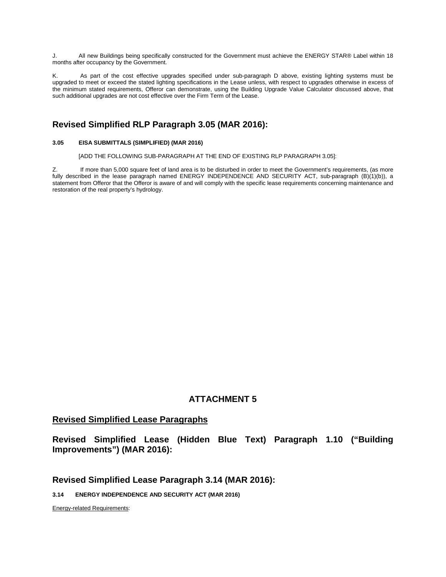J. All new Buildings being specifically constructed for the Government must achieve the ENERGY STAR® Label within 18 months after occupancy by the Government.

K. As part of the cost effective upgrades specified under sub-paragraph D above, existing lighting systems must be upgraded to meet or exceed the stated lighting specifications in the Lease unless, with respect to upgrades otherwise in excess of the minimum stated requirements, Offeror can demonstrate, using the Building Upgrade Value Calculator discussed above, that such additional upgrades are not cost effective over the Firm Term of the Lease.

# **Revised Simplified RLP Paragraph 3.05 (MAR 2016):**

#### **3.05 EISA SUBMITTALS (SIMPLIFIED) (MAR 2016)**

[ADD THE FOLLOWING SUB-PARAGRAPH AT THE END OF EXISTING RLP PARAGRAPH 3.05]:

Z. If more than 5,000 square feet of land area is to be disturbed in order to meet the Government's requirements, (as more fully described in the lease paragraph named ENERGY INDEPENDENCE AND SECURITY ACT, sub-paragraph (B)(1)(b)), a statement from Offeror that the Offeror is aware of and will comply with the specific lease requirements concerning maintenance and restoration of the real property's hydrology.

# **ATTACHMENT 5**

#### **Revised Simplified Lease Paragraphs**

**Revised Simplified Lease (Hidden Blue Text) Paragraph 1.10 ("Building Improvements") (MAR 2016):**

#### **Revised Simplified Lease Paragraph 3.14 (MAR 2016):**

**3.14 ENERGY INDEPENDENCE AND SECURITY ACT (MAR 2016)**

Energy-related Requirements: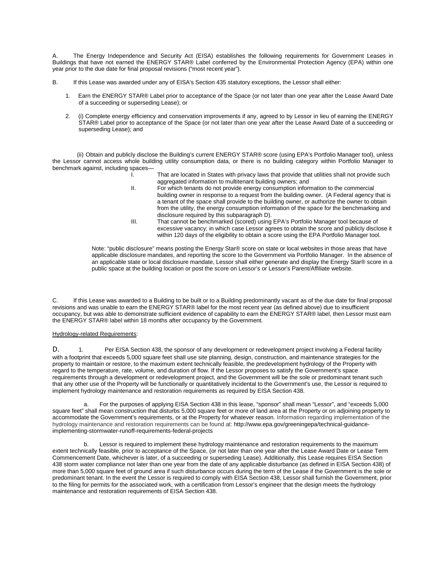The Energy Independence and Security Act (EISA) establishes the following requirements for Government Leases in Buildings that have not earned the ENERGY STAR® Label conferred by the Environmental Protection Agency (EPA) within one year prior to the due date for final proposal revisions ("most recent year").

- B. If this Lease was awarded under any of EISA's Section 435 statutory exceptions, the Lessor shall either:
	- 1. Earn the ENERGY STAR® Label prior to acceptance of the Space (or not later than one year after the Lease Award Date of a succeeding or superseding Lease); or
	- 2. (i) Complete energy efficiency and conservation improvements if any, agreed to by Lessor in lieu of earning the ENERGY STAR® Label prior to acceptance of the Space (or not later than one year after the Lease Award Date of a succeeding or superseding Lease); and

 (ii) Obtain and publicly disclose the Building's current ENERGY STAR® score (using EPA's Portfolio Manager tool), unless the Lessor cannot access whole building utility consumption data, or there is no building category within Portfolio Manager to benchmark against, including spaces—

- I. That are located in States with privacy laws that provide that utilities shall not provide such aggregated information to multitenant building owners; and
- II. For which tenants do not provide energy consumption information to the commercial building owner in response to a request from the building owner. (A Federal agency that is a tenant of the space shall provide to the building owner, or authorize the owner to obtain from the utility, the energy consumption information of the space for the benchmarking and disclosure required by this subparagraph D).
- III. That cannot be benchmarked (scored) using EPA's Portfolio Manager tool because of excessive vacancy; in which case Lessor agrees to obtain the score and publicly disclose it within 120 days of the eligibility to obtain a score using the EPA Portfolio Manager tool.

Note: "public disclosure" means posting the Energy Star® score on state or local websites in those areas that have applicable disclosure mandates, and reporting the score to the Government via Portfolio Manager. In the absence of an applicable state or local disclosure mandate, Lessor shall either generate and display the Energy Star® score in a public space at the building location or post the score on Lessor's or Lessor's Parent/Affiliate website.

C. If this Lease was awarded to a Building to be built or to a Building predominantly vacant as of the due date for final proposal revisions and was unable to earn the ENERGY STAR® label for the most recent year (as defined above) due to insufficient occupancy, but was able to demonstrate sufficient evidence of capability to earn the ENERGY STAR® label, then Lessor must earn the ENERGY STAR® label within 18 months after occupancy by the Government.

#### Hydrology-related Requirements:

D. 1. Per EISA Section 438, the sponsor of any development or redevelopment project involving a Federal facility with a footprint that exceeds 5,000 square feet shall use site planning, design, construction, and maintenance strategies for the property to maintain or restore, to the maximum extent technically feasible, the predevelopment hydrology of the Property with regard to the temperature, rate, volume, and duration of flow. If the Lessor proposes to satisfy the Government's space requirements through a development or redevelopment project, and the Government will be the sole or predominant tenant such that any other use of the Property will be functionally or quantitatively incidental to the Government's use, the Lessor is required to implement hydrology maintenance and restoration requirements as required by EISA Section 438.

a. For the purposes of applying EISA Section 438 in this lease, "sponsor" shall mean "Lessor", and "exceeds 5,000 square feet" shall mean construction that disturbs 5,000 square feet or more of land area at the Property or on adjoining property to accommodate the Government's requirements, or at the Property for whatever reason. Information regarding implementation of the hydrology maintenance and restoration requirements can be found at: http://www.epa.gov/greeningepa/technical-guidanceimplementing-stormwater-runoff-requirements-federal-projects

Lessor is required to implement these hydrology maintenance and restoration requirements to the maximum extent technically feasible, prior to acceptance of the Space, (or not later than one year after the Lease Award Date or Lease Term Commencement Date, whichever is later, of a succeeding or superseding Lease). Additionally, this Lease requires EISA Section 438 storm water compliance not later than one year from the date of any applicable disturbance (as defined in EISA Section 438) of more than 5,000 square feet of ground area if such disturbance occurs during the term of the Lease if the Government is the sole or predominant tenant. In the event the Lessor is required to comply with EISA Section 438, Lessor shall furnish the Government, prior to the filing for permits for the associated work, with a certification from Lessor's engineer that the design meets the hydrology maintenance and restoration requirements of EISA Section 438.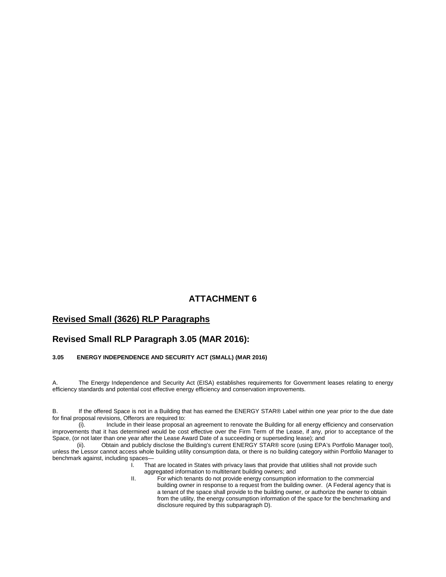# **Revised Small (3626) RLP Paragraphs**

# **Revised Small RLP Paragraph 3.05 (MAR 2016):**

#### **3.05 ENERGY INDEPENDENCE AND SECURITY ACT (SMALL) (MAR 2016)**

A. The Energy Independence and Security Act (EISA) establishes requirements for Government leases relating to energy efficiency standards and potential cost effective energy efficiency and conservation improvements.

B. If the offered Space is not in a Building that has earned the ENERGY STAR® Label within one year prior to the due date for final proposal revisions, Offerors are required to:

(i). Include in their lease proposal an agreement to renovate the Building for all energy efficiency and conservation improvements that it has determined would be cost effective over the Firm Term of the Lease, if any, prior to acceptance of the Space, (or not later than one year after the Lease Award Date of a succeeding or superseding lease); and

(ii). Obtain and publicly disclose the Building's current ENERGY STAR® score (using EPA's Portfolio Manager tool), unless the Lessor cannot access whole building utility consumption data, or there is no building category within Portfolio Manager to benchmark against, including spaces—

That are located in States with privacy laws that provide that utilities shall not provide such aggregated information to multitenant building owners; and

II. For which tenants do not provide energy consumption information to the commercial building owner in response to a request from the building owner. (A Federal agency that is a tenant of the space shall provide to the building owner, or authorize the owner to obtain from the utility, the energy consumption information of the space for the benchmarking and disclosure required by this subparagraph D).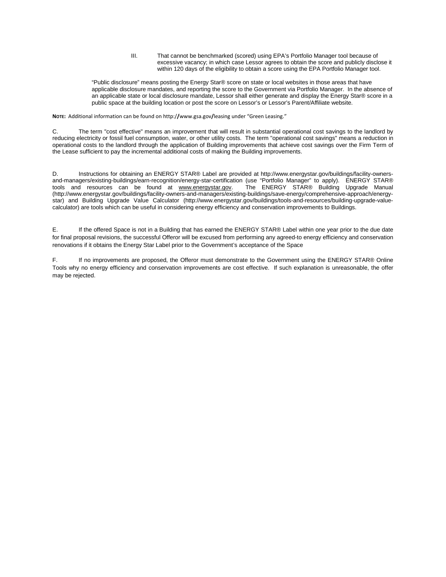III. That cannot be benchmarked (scored) using EPA's Portfolio Manager tool because of excessive vacancy; in which case Lessor agrees to obtain the score and publicly disclose it within 120 days of the eligibility to obtain a score using the EPA Portfolio Manager tool.

"Public disclosure" means posting the Energy Star® score on state or local websites in those areas that have applicable disclosure mandates, and reporting the score to the Government via Portfolio Manager. In the absence of an applicable state or local disclosure mandate, Lessor shall either generate and display the Energy Star® score in a public space at the building location or post the score on Lessor's or Lessor's Parent/Affiliate website.

**NOTE:** Additional information can be found on http:/**/**www.gsa.gov**/**leasing under "Green Leasing."

C. The term "cost effective" means an improvement that will result in substantial operational cost savings to the landlord by reducing electricity or fossil fuel consumption, water, or other utility costs. The term "operational cost savings" means a reduction in operational costs to the landlord through the application of Building improvements that achieve cost savings over the Firm Term of the Lease sufficient to pay the incremental additional costs of making the Building improvements.

D. Instructions for obtaining an ENERGY STAR® Label are provided at http://www.energystar.gov/buildings/facility-ownersand-managers/existing-buildings/earn-recognition/energy-star-certification (use "Portfolio Manager" to apply). ENERGY STAR®<br>tools and resources can be found at www.energystar.gov. The ENERGY STAR® Building Upgrade Manual tools and resources can be found at www.energystar.gov. (http://www.energystar.gov/buildings/facility-owners-and-managers/existing-buildings/save-energy/comprehensive-approach/energystar) and Building Upgrade Value Calculator (http://www.energystar.gov/buildings/tools-and-resources/building-upgrade-valuecalculator) are tools which can be useful in considering energy efficiency and conservation improvements to Buildings.

E. If the offered Space is not in a Building that has earned the ENERGY STAR® Label within one year prior to the due date for final proposal revisions, the successful Offeror will be excused from performing any agreed-to energy efficiency and conservation renovations if it obtains the Energy Star Label prior to the Government's acceptance of the Space

F. If no improvements are proposed, the Offeror must demonstrate to the Government using the ENERGY STAR® Online Tools why no energy efficiency and conservation improvements are cost effective. If such explanation is unreasonable, the offer may be rejected.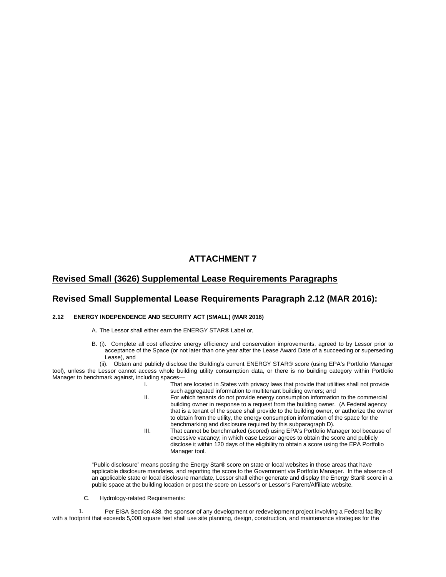# **Revised Small (3626) Supplemental Lease Requirements Paragraphs**

#### **Revised Small Supplemental Lease Requirements Paragraph 2.12 (MAR 2016):**

#### **2.12 ENERGY INDEPENDENCE AND SECURITY ACT (SMALL) (MAR 2016)**

- A. The Lessor shall either earn the ENERGY STAR® Label or,
- B. (i). Complete all cost effective energy efficiency and conservation improvements, agreed to by Lessor prior to acceptance of the Space (or not later than one year after the Lease Award Date of a succeeding or superseding Lease), and

 (ii). Obtain and publicly disclose the Building's current ENERGY STAR® score (using EPA's Portfolio Manager tool), unless the Lessor cannot access whole building utility consumption data, or there is no building category within Portfolio Manager to benchmark against, including spaces—

- I. That are located in States with privacy laws that provide that utilities shall not provide such aggregated information to multitenant building owners; and
- II. For which tenants do not provide energy consumption information to the commercial building owner in response to a request from the building owner. (A Federal agency that is a tenant of the space shall provide to the building owner, or authorize the owner to obtain from the utility, the energy consumption information of the space for the benchmarking and disclosure required by this subparagraph D).
- III. That cannot be benchmarked (scored) using EPA's Portfolio Manager tool because of excessive vacancy; in which case Lessor agrees to obtain the score and publicly disclose it within 120 days of the eligibility to obtain a score using the EPA Portfolio Manager tool.

"Public disclosure" means posting the Energy Star® score on state or local websites in those areas that have applicable disclosure mandates, and reporting the score to the Government via Portfolio Manager. In the absence of an applicable state or local disclosure mandate, Lessor shall either generate and display the Energy Star® score in a public space at the building location or post the score on Lessor's or Lessor's Parent/Affiliate website.

C. Hydrology-related Requirements:

1. Per EISA Section 438, the sponsor of any development or redevelopment project involving a Federal facility with a footprint that exceeds 5,000 square feet shall use site planning, design, construction, and maintenance strategies for the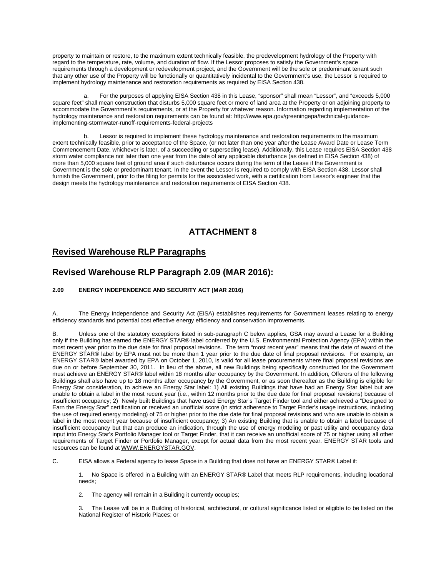property to maintain or restore, to the maximum extent technically feasible, the predevelopment hydrology of the Property with regard to the temperature, rate, volume, and duration of flow. If the Lessor proposes to satisfy the Government's space requirements through a development or redevelopment project, and the Government will be the sole or predominant tenant such that any other use of the Property will be functionally or quantitatively incidental to the Government's use, the Lessor is required to implement hydrology maintenance and restoration requirements as required by EISA Section 438.

For the purposes of applying EISA Section 438 in this Lease, "sponsor" shall mean "Lessor", and "exceeds 5,000 square feet" shall mean construction that disturbs 5,000 square feet or more of land area at the Property or on adjoining property to accommodate the Government's requirements, or at the Property for whatever reason. Information regarding implementation of the hydrology maintenance and restoration requirements can be found at: http://www.epa.gov/greeningepa/technical-guidanceimplementing-stormwater-runoff-requirements-federal-projects

Lessor is required to implement these hydrology maintenance and restoration requirements to the maximum extent technically feasible, prior to acceptance of the Space, (or not later than one year after the Lease Award Date or Lease Term Commencement Date, whichever is later, of a succeeding or superseding lease). Additionally, this Lease requires EISA Section 438 storm water compliance not later than one year from the date of any applicable disturbance (as defined in EISA Section 438) of more than 5,000 square feet of ground area if such disturbance occurs during the term of the Lease if the Government is Government is the sole or predominant tenant. In the event the Lessor is required to comply with EISA Section 438, Lessor shall furnish the Government, prior to the filing for permits for the associated work, with a certification from Lessor's engineer that the design meets the hydrology maintenance and restoration requirements of EISA Section 438.

# **ATTACHMENT 8**

# **Revised Warehouse RLP Paragraphs**

# **Revised Warehouse RLP Paragraph 2.09 (MAR 2016):**

#### **2.09 ENERGY INDEPENDENCE AND SECURITY ACT (MAR 2016)**

A. The Energy Independence and Security Act (EISA) establishes requirements for Government leases relating to energy efficiency standards and potential cost effective energy efficiency and conservation improvements.

B. Unless one of the statutory exceptions listed in sub-paragraph C below applies, GSA may award a Lease for a Building only if the Building has earned the ENERGY STAR® label conferred by the U.S. Environmental Protection Agency (EPA) within the most recent year prior to the due date for final proposal revisions. The term "most recent year" means that the date of award of the ENERGY STAR® label by EPA must not be more than 1 year prior to the due date of final proposal revisions. For example, an ENERGY STAR® label awarded by EPA on October 1, 2010, is valid for all lease procurements where final proposal revisions are due on or before September 30, 2011. In lieu of the above, all new Buildings being specifically constructed for the Government must achieve an ENERGY STAR® label within 18 months after occupancy by the Government. In addition, Offerors of the following Buildings shall also have up to 18 months after occupancy by the Government, or as soon thereafter as the Building is eligible for Energy Star consideration, to achieve an Energy Star label: 1) All existing Buildings that have had an Energy Star label but are unable to obtain a label in the most recent year (i.e., within 12 months prior to the due date for final proposal revisions) because of insufficient occupancy; 2) Newly built Buildings that have used Energy Star's Target Finder tool and either achieved a "Designed to Earn the Energy Star" certification or received an unofficial score (in strict adherence to Target Finder's usage instructions, including the use of required energy modeling) of 75 or higher prior to the due date for final proposal revisions and who are unable to obtain a label in the most recent year because of insufficient occupancy; 3) An existing Building that is unable to obtain a label because of insufficient occupancy but that can produce an indication, through the use of energy modeling or past utility and occupancy data input into Energy Star's Portfolio Manager tool or Target Finder, that it can receive an unofficial score of 75 or higher using all other requirements of Target Finder or Portfolio Manager, except for actual data from the most recent year. ENERGY STAR tools and resources can be found at WWW.ENERGYSTAR.GOV.

C. EISA allows a Federal agency to lease Space in a Building that does not have an ENERGY STAR® Label if:

1. No Space is offered in a Building with an ENERGY STAR® Label that meets RLP requirements, including locational needs;

2. The agency will remain in a Building it currently occupies;

3. The Lease will be in a Building of historical, architectural, or cultural significance listed or eligible to be listed on the National Register of Historic Places; or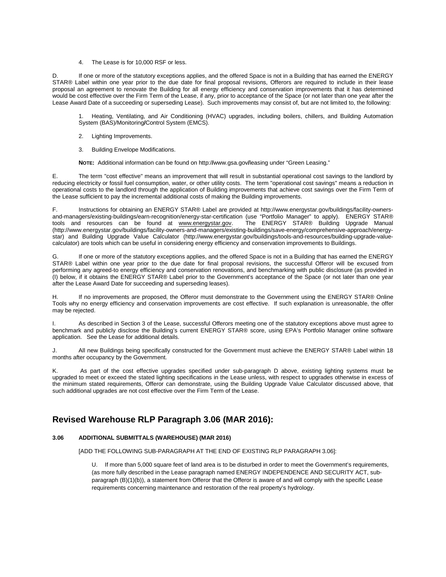4. The Lease is for 10,000 RSF or less.

If one or more of the statutory exceptions applies, and the offered Space is not in a Building that has earned the ENERGY STAR® Label within one year prior to the due date for final proposal revisions, Offerors are required to include in their lease proposal an agreement to renovate the Building for all energy efficiency and conservation improvements that it has determined would be cost effective over the Firm Term of the Lease, if any, prior to acceptance of the Space (or not later than one year after the Lease Award Date of a succeeding or superseding Lease). Such improvements may consist of, but are not limited to, the following:

1. Heating, Ventilating, and Air Conditioning (HVAC) upgrades, including boilers, chillers, and Building Automation System (BAS)/Monitoring**/**Control System (EMCS).

- 2. Lighting Improvements.
- 3. Building Envelope Modifications.

**NOTE:** Additional information can be found on http:/**/**www.gsa.gov**/**leasing under "Green Leasing."

E. The term "cost effective" means an improvement that will result in substantial operational cost savings to the landlord by reducing electricity or fossil fuel consumption, water, or other utility costs. The term "operational cost savings" means a reduction in operational costs to the landlord through the application of Building improvements that achieve cost savings over the Firm Term of the Lease sufficient to pay the incremental additional costs of making the Building improvements.

F. Instructions for obtaining an ENERGY STAR® Label are provided at http://www.energystar.gov/buildings/facility-ownersand-managers/existing-buildings/earn-recognition/energy-star-certification (use "Portfolio Manager" to apply). ENERGY STAR®<br>tools and resources can be found at www.energystar.gov. The ENERGY STAR® Building Upgrade Manual tools and resources can be found at www.energystar.gov. (http://www.energystar.gov/buildings/facility-owners-and-managers/existing-buildings/save-energy/comprehensive-approach/energystar) and Building Upgrade Value Calculator (http://www.energystar.gov/buildings/tools-and-resources/building-upgrade-valuecalculator) are tools which can be useful in considering energy efficiency and conservation improvements to Buildings.

G. If one or more of the statutory exceptions applies, and the offered Space is not in a Building that has earned the ENERGY STAR® Label within one year prior to the due date for final proposal revisions, the successful Offeror will be excused from performing any agreed-to energy efficiency and conservation renovations, and benchmarking with public disclosure (as provided in (I) below, if it obtains the ENERGY STAR® Label prior to the Government's acceptance of the Space (or not later than one year after the Lease Award Date for succeeding and superseding leases).

H. If no improvements are proposed, the Offeror must demonstrate to the Government using the ENERGY STAR® Online Tools why no energy efficiency and conservation improvements are cost effective. If such explanation is unreasonable, the offer may be rejected.

I. As described in Section 3 of the Lease, successful Offerors meeting one of the statutory exceptions above must agree to benchmark and publicly disclose the Building's current ENERGY STAR® score, using EPA's Portfolio Manager online software application. See the Lease for additional details.

J. All new Buildings being specifically constructed for the Government must achieve the ENERGY STAR® Label within 18 months after occupancy by the Government.

K. As part of the cost effective upgrades specified under sub-paragraph D above, existing lighting systems must be upgraded to meet or exceed the stated lighting specifications in the Lease unless, with respect to upgrades otherwise in excess of the minimum stated requirements, Offeror can demonstrate, using the Building Upgrade Value Calculator discussed above, that such additional upgrades are not cost effective over the Firm Term of the Lease.

# **Revised Warehouse RLP Paragraph 3.06 (MAR 2016):**

#### **3.06 ADDITIONAL SUBMITTALS (WAREHOUSE) (MAR 2016)**

[ADD THE FOLLOWING SUB-PARAGRAPH AT THE END OF EXISTING RLP PARAGRAPH 3.06]:

U. If more than 5,000 square feet of land area is to be disturbed in order to meet the Government's requirements, (as more fully described in the Lease paragraph named ENERGY INDEPENDENCE AND SECURITY ACT, subparagraph (B)(1)(b)), a statement from Offeror that the Offeror is aware of and will comply with the specific Lease requirements concerning maintenance and restoration of the real property's hydrology.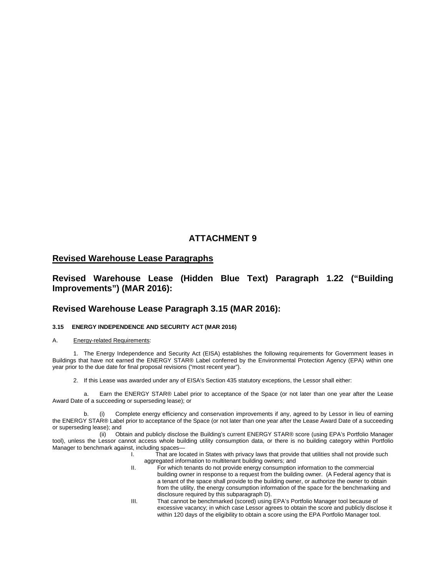#### **Revised Warehouse Lease Paragraphs**

## **Revised Warehouse Lease (Hidden Blue Text) Paragraph 1.22 ("Building Improvements") (MAR 2016):**

#### **Revised Warehouse Lease Paragraph 3.15 (MAR 2016):**

#### **3.15 ENERGY INDEPENDENCE AND SECURITY ACT (MAR 2016)**

#### A. Energy-related Requirements:

1. The Energy Independence and Security Act (EISA) establishes the following requirements for Government leases in Buildings that have not earned the ENERGY STAR® Label conferred by the Environmental Protection Agency (EPA) within one year prior to the due date for final proposal revisions ("most recent year").

2. If this Lease was awarded under any of EISA's Section 435 statutory exceptions, the Lessor shall either:

Earn the ENERGY STAR® Label prior to acceptance of the Space (or not later than one year after the Lease Award Date of a succeeding or superseding lease); or

b. (i) Complete energy efficiency and conservation improvements if any, agreed to by Lessor in lieu of earning the ENERGY STAR® Label prior to acceptance of the Space (or not later than one year after the Lease Award Date of a succeeding or superseding lease); and

(ii) Obtain and publicly disclose the Building's current ENERGY STAR® score (using EPA's Portfolio Manager tool), unless the Lessor cannot access whole building utility consumption data, or there is no building category within Portfolio Manager to benchmark against, including spaces—

I. That are located in States with privacy laws that provide that utilities shall not provide such aggregated information to multitenant building owners; and

- II. For which tenants do not provide energy consumption information to the commercial building owner in response to a request from the building owner. (A Federal agency that is a tenant of the space shall provide to the building owner, or authorize the owner to obtain from the utility, the energy consumption information of the space for the benchmarking and disclosure required by this subparagraph D).
- III. That cannot be benchmarked (scored) using EPA's Portfolio Manager tool because of excessive vacancy; in which case Lessor agrees to obtain the score and publicly disclose it within 120 days of the eligibility to obtain a score using the EPA Portfolio Manager tool.